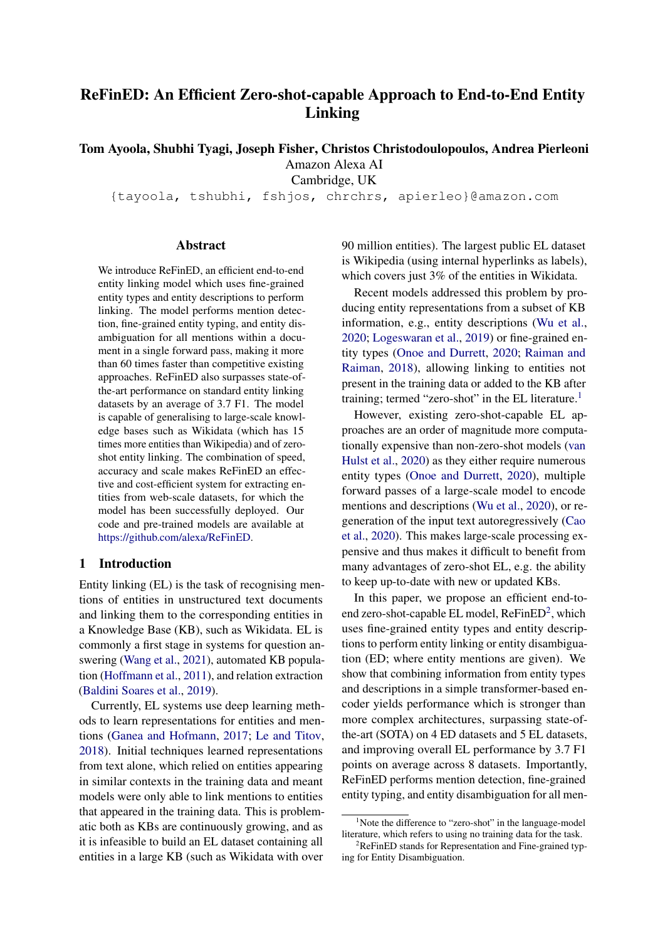# ReFinED: An Efficient Zero-shot-capable Approach to End-to-End Entity Linking

Tom Ayoola, Shubhi Tyagi, Joseph Fisher, Christos Christodoulopoulos, Andrea Pierleoni

Amazon Alexa AI

Cambridge, UK

{tayoola, tshubhi, fshjos, chrchrs, apierleo}@amazon.com

### Abstract

We introduce ReFinED, an efficient end-to-end entity linking model which uses fine-grained entity types and entity descriptions to perform linking. The model performs mention detection, fine-grained entity typing, and entity disambiguation for all mentions within a document in a single forward pass, making it more than 60 times faster than competitive existing approaches. ReFinED also surpasses state-ofthe-art performance on standard entity linking datasets by an average of 3.7 F1. The model is capable of generalising to large-scale knowledge bases such as Wikidata (which has 15 times more entities than Wikipedia) and of zeroshot entity linking. The combination of speed, accuracy and scale makes ReFinED an effective and cost-efficient system for extracting entities from web-scale datasets, for which the model has been successfully deployed. Our code and pre-trained models are available at [https://github.com/alexa/ReFinED.](https://github.com/alexa/ReFinED)

#### 1 Introduction

Entity linking (EL) is the task of recognising mentions of entities in unstructured text documents and linking them to the corresponding entities in a Knowledge Base (KB), such as Wikidata. EL is commonly a first stage in systems for question answering [\(Wang et al.,](#page-8-0) [2021\)](#page-8-0), automated KB population [\(Hoffmann et al.,](#page-7-0) [2011\)](#page-7-0), and relation extraction [\(Baldini Soares et al.,](#page-7-1) [2019\)](#page-7-1).

Currently, EL systems use deep learning methods to learn representations for entities and mentions [\(Ganea and Hofmann,](#page-7-2) [2017;](#page-7-2) [Le and Titov,](#page-8-1) [2018\)](#page-8-1). Initial techniques learned representations from text alone, which relied on entities appearing in similar contexts in the training data and meant models were only able to link mentions to entities that appeared in the training data. This is problematic both as KBs are continuously growing, and as it is infeasible to build an EL dataset containing all entities in a large KB (such as Wikidata with over 90 million entities). The largest public EL dataset is Wikipedia (using internal hyperlinks as labels), which covers just 3% of the entities in Wikidata.

Recent models addressed this problem by producing entity representations from a subset of KB information, e.g., entity descriptions [\(Wu et al.,](#page-9-0) [2020;](#page-9-0) [Logeswaran et al.,](#page-8-2) [2019\)](#page-8-2) or fine-grained entity types [\(Onoe and Durrett,](#page-8-3) [2020;](#page-8-3) [Raiman and](#page-8-4) [Raiman,](#page-8-4) [2018\)](#page-8-4), allowing linking to entities not present in the training data or added to the KB after training; termed "zero-shot" in the EL literature.<sup>[1](#page-0-0)</sup>

However, existing zero-shot-capable EL approaches are an order of magnitude more computationally expensive than non-zero-shot models [\(van](#page-8-5) [Hulst et al.,](#page-8-5) [2020\)](#page-8-5) as they either require numerous entity types [\(Onoe and Durrett,](#page-8-3) [2020\)](#page-8-3), multiple forward passes of a large-scale model to encode mentions and descriptions [\(Wu et al.,](#page-9-0) [2020\)](#page-9-0), or regeneration of the input text autoregressively [\(Cao](#page-7-3) [et al.,](#page-7-3) [2020\)](#page-7-3). This makes large-scale processing expensive and thus makes it difficult to benefit from many advantages of zero-shot EL, e.g. the ability to keep up-to-date with new or updated KBs.

In this paper, we propose an efficient end-toend zero-shot-capable EL model,  $RefinED^2$  $RefinED^2$ , which uses fine-grained entity types and entity descriptions to perform entity linking or entity disambiguation (ED; where entity mentions are given). We show that combining information from entity types and descriptions in a simple transformer-based encoder yields performance which is stronger than more complex architectures, surpassing state-ofthe-art (SOTA) on 4 ED datasets and 5 EL datasets, and improving overall EL performance by 3.7 F1 points on average across 8 datasets. Importantly, ReFinED performs mention detection, fine-grained entity typing, and entity disambiguation for all men-

<span id="page-0-0"></span><sup>&</sup>lt;sup>1</sup>Note the difference to "zero-shot" in the language-model literature, which refers to using no training data for the task.

<span id="page-0-1"></span> $2$ ReFinED stands for Representation and Fine-grained typing for Entity Disambiguation.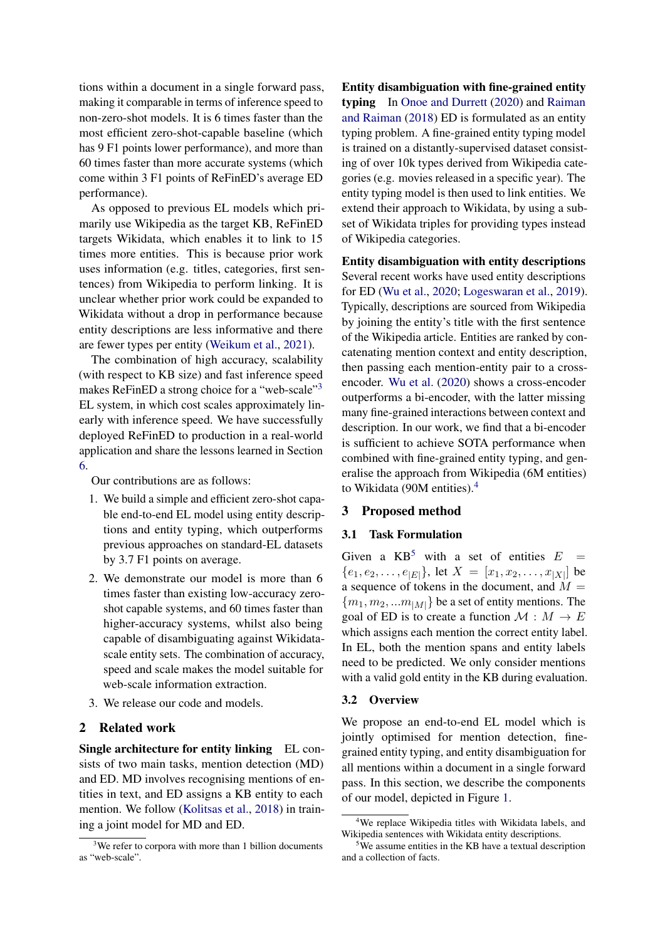tions within a document in a single forward pass, making it comparable in terms of inference speed to non-zero-shot models. It is 6 times faster than the most efficient zero-shot-capable baseline (which has 9 F1 points lower performance), and more than 60 times faster than more accurate systems (which come within 3 F1 points of ReFinED's average ED performance).

As opposed to previous EL models which primarily use Wikipedia as the target KB, ReFinED targets Wikidata, which enables it to link to 15 times more entities. This is because prior work uses information (e.g. titles, categories, first sentences) from Wikipedia to perform linking. It is unclear whether prior work could be expanded to Wikidata without a drop in performance because entity descriptions are less informative and there are fewer types per entity [\(Weikum et al.,](#page-9-1) [2021\)](#page-9-1).

The combination of high accuracy, scalability (with respect to KB size) and fast inference speed makes ReFinED a strong choice for a "web-scale"<sup>[3](#page-1-0)</sup> EL system, in which cost scales approximately linearly with inference speed. We have successfully deployed ReFinED to production in a real-world application and share the lessons learned in Section [6.](#page-5-0)

Our contributions are as follows:

- 1. We build a simple and efficient zero-shot capable end-to-end EL model using entity descriptions and entity typing, which outperforms previous approaches on standard-EL datasets by 3.7 F1 points on average.
- 2. We demonstrate our model is more than 6 times faster than existing low-accuracy zeroshot capable systems, and 60 times faster than higher-accuracy systems, whilst also being capable of disambiguating against Wikidatascale entity sets. The combination of accuracy, speed and scale makes the model suitable for web-scale information extraction.
- 3. We release our code and models.

# 2 Related work

Single architecture for entity linking EL consists of two main tasks, mention detection (MD) and ED. MD involves recognising mentions of entities in text, and ED assigns a KB entity to each mention. We follow [\(Kolitsas et al.,](#page-8-6) [2018\)](#page-8-6) in training a joint model for MD and ED.

Entity disambiguation with fine-grained entity typing In [Onoe and Durrett](#page-8-3) [\(2020\)](#page-8-3) and [Raiman](#page-8-4) [and Raiman](#page-8-4) [\(2018\)](#page-8-4) ED is formulated as an entity typing problem. A fine-grained entity typing model is trained on a distantly-supervised dataset consisting of over 10k types derived from Wikipedia categories (e.g. movies released in a specific year). The entity typing model is then used to link entities. We extend their approach to Wikidata, by using a subset of Wikidata triples for providing types instead of Wikipedia categories.

Entity disambiguation with entity descriptions Several recent works have used entity descriptions for ED [\(Wu et al.,](#page-9-0) [2020;](#page-9-0) [Logeswaran et al.,](#page-8-2) [2019\)](#page-8-2). Typically, descriptions are sourced from Wikipedia by joining the entity's title with the first sentence of the Wikipedia article. Entities are ranked by concatenating mention context and entity description, then passing each mention-entity pair to a crossencoder. [Wu et al.](#page-9-0) [\(2020\)](#page-9-0) shows a cross-encoder outperforms a bi-encoder, with the latter missing many fine-grained interactions between context and description. In our work, we find that a bi-encoder is sufficient to achieve SOTA performance when combined with fine-grained entity typing, and generalise the approach from Wikipedia (6M entities) to Wikidata (90M entities).[4](#page-1-1)

### 3 Proposed method

### 3.1 Task Formulation

Given a  $KB^5$  $KB^5$  with a set of entities  $E =$  ${e_1, e_2, \ldots, e_{|E|}}, \text{ let } X = [x_1, x_2, \ldots, x_{|X|}] \text{ be}$ a sequence of tokens in the document, and  $M =$  ${m_1, m_2, ... m_{|M|}}$  be a set of entity mentions. The goal of ED is to create a function  $\mathcal{M}: M \to E$ which assigns each mention the correct entity label. In EL, both the mention spans and entity labels need to be predicted. We only consider mentions with a valid gold entity in the KB during evaluation.

#### 3.2 Overview

We propose an end-to-end EL model which is jointly optimised for mention detection, finegrained entity typing, and entity disambiguation for all mentions within a document in a single forward pass. In this section, we describe the components of our model, depicted in Figure [1.](#page-2-0)

<span id="page-1-0"></span><sup>&</sup>lt;sup>3</sup>We refer to corpora with more than 1 billion documents as "web-scale".

<span id="page-1-1"></span><sup>4</sup>We replace Wikipedia titles with Wikidata labels, and Wikipedia sentences with Wikidata entity descriptions.

<span id="page-1-2"></span><sup>&</sup>lt;sup>5</sup>We assume entities in the KB have a textual description and a collection of facts.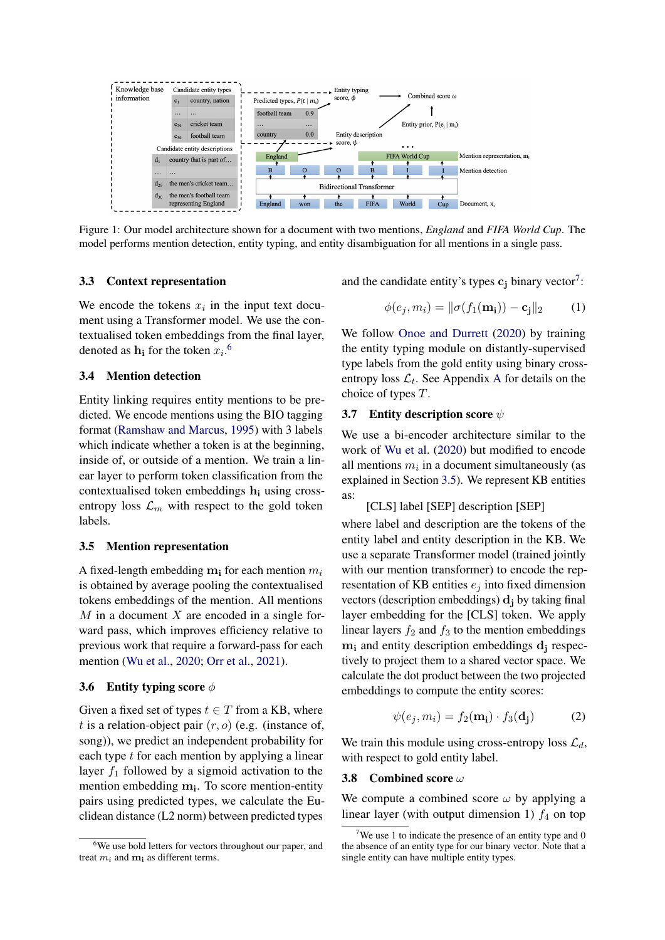<span id="page-2-0"></span>

Figure 1: Our model architecture shown for a document with two mentions, *England* and *FIFA World Cup*. The model performs mention detection, entity typing, and entity disambiguation for all mentions in a single pass.

#### 3.3 Context representation

We encode the tokens  $x_i$  in the input text document using a Transformer model. We use the contextualised token embeddings from the final layer, denoted as  $\mathbf{h_i}$  for the token  $x_i$ .<sup>[6](#page-2-1)</sup>

### 3.4 Mention detection

Entity linking requires entity mentions to be predicted. We encode mentions using the BIO tagging format [\(Ramshaw and Marcus,](#page-8-7) [1995\)](#page-8-7) with 3 labels which indicate whether a token is at the beginning, inside of, or outside of a mention. We train a linear layer to perform token classification from the contextualised token embeddings  $h_i$  using crossentropy loss  $\mathcal{L}_m$  with respect to the gold token labels.

### <span id="page-2-3"></span>3.5 Mention representation

A fixed-length embedding  $m_i$  for each mention  $m_i$ is obtained by average pooling the contextualised tokens embeddings of the mention. All mentions  $M$  in a document  $X$  are encoded in a single forward pass, which improves efficiency relative to previous work that require a forward-pass for each mention [\(Wu et al.,](#page-9-0) [2020;](#page-9-0) [Orr et al.,](#page-8-8) [2021\)](#page-8-8).

#### 3.6 Entity typing score  $\phi$

Given a fixed set of types  $t \in T$  from a KB, where t is a relation-object pair  $(r, o)$  (e.g. (instance of, song)), we predict an independent probability for each type  $t$  for each mention by applying a linear layer  $f_1$  followed by a sigmoid activation to the mention embedding m<sub>i</sub>. To score mention-entity pairs using predicted types, we calculate the Euclidean distance (L2 norm) between predicted types

and the candidate entity's types  $c_j$  binary vector<sup>[7](#page-2-2)</sup>:

$$
\phi(e_j, m_i) = \|\sigma(f_1(\mathbf{m_i})) - \mathbf{c_j}\|_2 \quad (1)
$$

We follow [Onoe and Durrett](#page-8-3) [\(2020\)](#page-8-3) by training the entity typing module on distantly-supervised type labels from the gold entity using binary crossentropy loss  $\mathcal{L}_t$ . See [A](#page-10-0)ppendix A for details on the choice of types T.

### 3.7 Entity description score  $\psi$

We use a bi-encoder architecture similar to the work of [Wu et al.](#page-9-0) [\(2020\)](#page-9-0) but modified to encode all mentions  $m_i$  in a document simultaneously (as explained in Section [3.5\)](#page-2-3). We represent KB entities as:

```
[CLS] label [SEP] description [SEP]
```
where label and description are the tokens of the entity label and entity description in the KB. We use a separate Transformer model (trained jointly with our mention transformer) to encode the representation of KB entities  $e_i$  into fixed dimension vectors (description embeddings)  $\mathbf{d_i}$  by taking final layer embedding for the [CLS] token. We apply linear layers  $f_2$  and  $f_3$  to the mention embeddings  $m_i$  and entity description embeddings  $d_i$  respectively to project them to a shared vector space. We calculate the dot product between the two projected embeddings to compute the entity scores:

$$
\psi(e_j, m_i) = f_2(\mathbf{m_i}) \cdot f_3(\mathbf{d_j}) \tag{2}
$$

We train this module using cross-entropy loss  $\mathcal{L}_d$ , with respect to gold entity label.

### <span id="page-2-4"></span>3.8 Combined score ω

We compute a combined score  $\omega$  by applying a linear layer (with output dimension 1)  $f_4$  on top

<span id="page-2-1"></span><sup>&</sup>lt;sup>6</sup>We use bold letters for vectors throughout our paper, and treat  $m_i$  and  $m_i$  as different terms.

<span id="page-2-2"></span>We use 1 to indicate the presence of an entity type and  $0$ the absence of an entity type for our binary vector. Note that a single entity can have multiple entity types.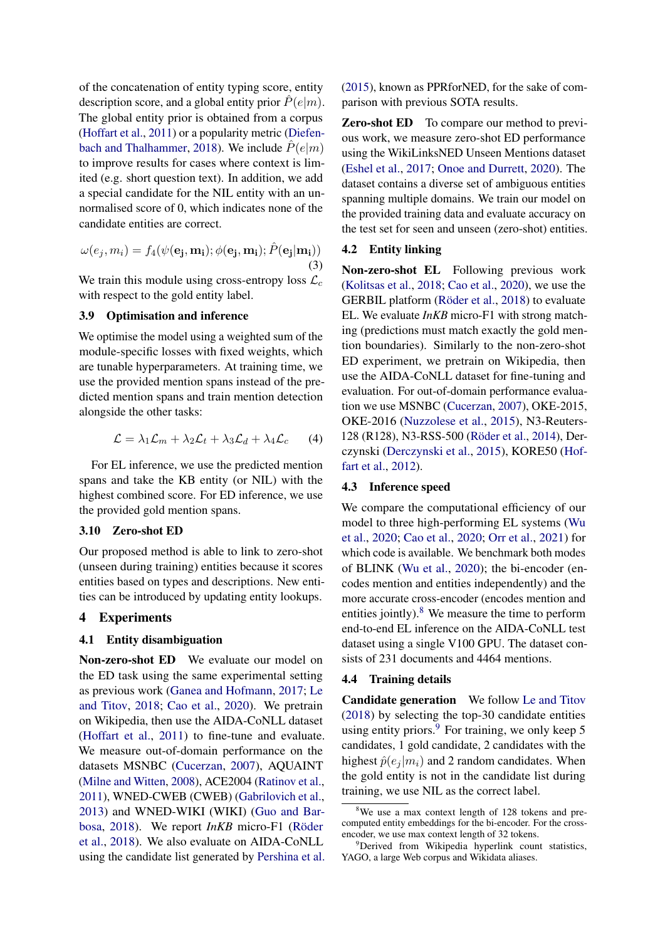of the concatenation of entity typing score, entity description score, and a global entity prior  $\hat{P}(e|m)$ . The global entity prior is obtained from a corpus [\(Hoffart et al.,](#page-7-4) [2011\)](#page-7-4) or a popularity metric [\(Diefen](#page-7-5)[bach and Thalhammer,](#page-7-5) [2018\)](#page-7-5). We include  $\tilde{P}(e|m)$ to improve results for cases where context is limited (e.g. short question text). In addition, we add a special candidate for the NIL entity with an unnormalised score of 0, which indicates none of the candidate entities are correct.

$$
\omega(e_j, m_i) = f_4(\psi(\mathbf{e_j}, \mathbf{m_i}); \phi(\mathbf{e_j}, \mathbf{m_i}); \hat{P}(\mathbf{e_j}|\mathbf{m_i}))
$$
\n(3)

We train this module using cross-entropy loss  $\mathcal{L}_c$ with respect to the gold entity label.

### 3.9 Optimisation and inference

We optimise the model using a weighted sum of the module-specific losses with fixed weights, which are tunable hyperparameters. At training time, we use the provided mention spans instead of the predicted mention spans and train mention detection alongside the other tasks:

$$
\mathcal{L} = \lambda_1 \mathcal{L}_m + \lambda_2 \mathcal{L}_t + \lambda_3 \mathcal{L}_d + \lambda_4 \mathcal{L}_c \qquad (4)
$$

For EL inference, we use the predicted mention spans and take the KB entity (or NIL) with the highest combined score. For ED inference, we use the provided gold mention spans.

### 3.10 Zero-shot ED

Our proposed method is able to link to zero-shot (unseen during training) entities because it scores entities based on types and descriptions. New entities can be introduced by updating entity lookups.

### 4 Experiments

### 4.1 Entity disambiguation

Non-zero-shot ED We evaluate our model on the ED task using the same experimental setting as previous work [\(Ganea and Hofmann,](#page-7-2) [2017;](#page-7-2) [Le](#page-8-1) [and Titov,](#page-8-1) [2018;](#page-8-1) [Cao et al.,](#page-7-3) [2020\)](#page-7-3). We pretrain on Wikipedia, then use the AIDA-CoNLL dataset [\(Hoffart et al.,](#page-7-4) [2011\)](#page-7-4) to fine-tune and evaluate. We measure out-of-domain performance on the datasets MSNBC [\(Cucerzan,](#page-7-6) [2007\)](#page-7-6), AQUAINT [\(Milne and Witten,](#page-8-9) [2008\)](#page-8-9), ACE2004 [\(Ratinov et al.,](#page-8-10) [2011\)](#page-8-10), WNED-CWEB (CWEB) [\(Gabrilovich et al.,](#page-7-7) [2013\)](#page-7-7) and WNED-WIKI (WIKI) [\(Guo and Bar](#page-7-8)[bosa,](#page-7-8) [2018\)](#page-7-8). We report *InKB* micro-F1 [\(Röder](#page-8-11) [et al.,](#page-8-11) [2018\)](#page-8-11). We also evaluate on AIDA-CoNLL using the candidate list generated by [Pershina et al.](#page-8-12) [\(2015\)](#page-8-12), known as PPRforNED, for the sake of comparison with previous SOTA results.

**Zero-shot ED** To compare our method to previous work, we measure zero-shot ED performance using the WikiLinksNED Unseen Mentions dataset [\(Eshel et al.,](#page-7-9) [2017;](#page-7-9) [Onoe and Durrett,](#page-8-3) [2020\)](#page-8-3). The dataset contains a diverse set of ambiguous entities spanning multiple domains. We train our model on the provided training data and evaluate accuracy on the test set for seen and unseen (zero-shot) entities.

#### 4.2 Entity linking

Non-zero-shot EL Following previous work [\(Kolitsas et al.,](#page-8-6) [2018;](#page-8-6) [Cao et al.,](#page-7-3) [2020\)](#page-7-3), we use the GERBIL platform [\(Röder et al.,](#page-8-11) [2018\)](#page-8-11) to evaluate EL. We evaluate *InKB* micro-F1 with strong matching (predictions must match exactly the gold mention boundaries). Similarly to the non-zero-shot ED experiment, we pretrain on Wikipedia, then use the AIDA-CoNLL dataset for fine-tuning and evaluation. For out-of-domain performance evaluation we use MSNBC [\(Cucerzan,](#page-7-6) [2007\)](#page-7-6), OKE-2015, OKE-2016 [\(Nuzzolese et al.,](#page-8-13) [2015\)](#page-8-13), N3-Reuters-128 (R128), N3-RSS-500 [\(Röder et al.,](#page-8-14) [2014\)](#page-8-14), Derczynski [\(Derczynski et al.,](#page-7-10) [2015\)](#page-7-10), KORE50 [\(Hof](#page-7-11)[fart et al.,](#page-7-11) [2012\)](#page-7-11).

#### 4.3 Inference speed

We compare the computational efficiency of our model to three high-performing EL systems [\(Wu](#page-9-0) [et al.,](#page-9-0) [2020;](#page-9-0) [Cao et al.,](#page-7-3) [2020;](#page-7-3) [Orr et al.,](#page-8-8) [2021\)](#page-8-8) for which code is available. We benchmark both modes of BLINK [\(Wu et al.,](#page-9-0) [2020\)](#page-9-0); the bi-encoder (encodes mention and entities independently) and the more accurate cross-encoder (encodes mention and entities jointly). $8$  We measure the time to perform end-to-end EL inference on the AIDA-CoNLL test dataset using a single V100 GPU. The dataset consists of 231 documents and 4464 mentions.

### 4.4 Training details

Candidate generation We follow [Le and Titov](#page-8-1) [\(2018\)](#page-8-1) by selecting the top-30 candidate entities using entity priors. $9\,\text{For training, we only keep } 5$  $9\,\text{For training, we only keep } 5$ candidates, 1 gold candidate, 2 candidates with the highest  $\hat{p}(e_i | m_i)$  and 2 random candidates. When the gold entity is not in the candidate list during training, we use NIL as the correct label.

<span id="page-3-0"></span><sup>&</sup>lt;sup>8</sup>We use a max context length of 128 tokens and precomputed entity embeddings for the bi-encoder. For the crossencoder, we use max context length of 32 tokens.

<span id="page-3-1"></span><sup>&</sup>lt;sup>9</sup>Derived from Wikipedia hyperlink count statistics, YAGO, a large Web corpus and Wikidata aliases.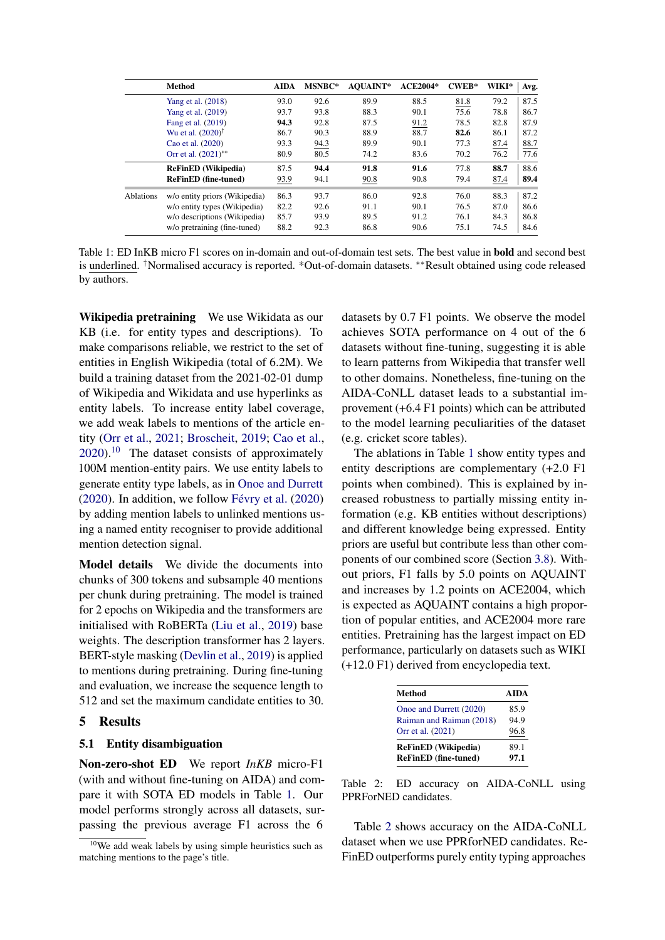<span id="page-4-1"></span>

|           | <b>Method</b>                     | <b>AIDA</b> | MSNBC* | <b>AOUAINT*</b> | <b>ACE2004*</b> | $CWER*$ | WIKI* | Avg. |
|-----------|-----------------------------------|-------------|--------|-----------------|-----------------|---------|-------|------|
|           | Yang et al. (2018)                | 93.0        | 92.6   | 89.9            | 88.5            | 81.8    | 79.2  | 87.5 |
|           | Yang et al. (2019)                | 93.7        | 93.8   | 88.3            | 90.1            | 75.6    | 78.8  | 86.7 |
|           | Fang et al. (2019)                | 94.3        | 92.8   | 87.5            | 91.2            | 78.5    | 82.8  | 87.9 |
|           | Wu et al. $(2020)^{\dagger}$      | 86.7        | 90.3   | 88.9            | 88.7            | 82.6    | 86.1  | 87.2 |
|           | Cao et al. (2020)                 | 93.3        | 94.3   | 89.9            | 90.1            | 77.3    | 87.4  | 88.7 |
|           | Orr et al. $(2021)$ <sup>**</sup> | 80.9        | 80.5   | 74.2            | 83.6            | 70.2    | 76.2  | 77.6 |
|           | <b>ReFinED</b> (Wikipedia)        | 87.5        | 94.4   | 91.8            | 91.6            | 77.8    | 88.7  | 88.6 |
|           | <b>ReFinED</b> (fine-tuned)       | 93.9        | 94.1   | 90.8            | 90.8            | 79.4    | 87.4  | 89.4 |
| Ablations | w/o entity priors (Wikipedia)     | 86.3        | 93.7   | 86.0            | 92.8            | 76.0    | 88.3  | 87.2 |
|           | w/o entity types (Wikipedia)      | 82.2        | 92.6   | 91.1            | 90.1            | 76.5    | 87.0  | 86.6 |
|           | w/o descriptions (Wikipedia)      | 85.7        | 93.9   | 89.5            | 91.2            | 76.1    | 84.3  | 86.8 |
|           | w/o pretraining (fine-tuned)      | 88.2        | 92.3   | 86.8            | 90.6            | 75.1    | 74.5  | 84.6 |

Table 1: ED InKB micro F1 scores on in-domain and out-of-domain test sets. The best value in bold and second best is underlined. †Normalised accuracy is reported. \*Out-of-domain datasets. ∗∗Result obtained using code released by authors.

Wikipedia pretraining We use Wikidata as our KB (i.e. for entity types and descriptions). To make comparisons reliable, we restrict to the set of entities in English Wikipedia (total of 6.2M). We build a training dataset from the 2021-02-01 dump of Wikipedia and Wikidata and use hyperlinks as entity labels. To increase entity label coverage, we add weak labels to mentions of the article entity [\(Orr et al.,](#page-8-8) [2021;](#page-8-8) [Broscheit,](#page-7-13) [2019;](#page-7-13) [Cao et al.,](#page-7-3)  $2020$ .<sup>[10](#page-4-0)</sup> The dataset consists of approximately 100M mention-entity pairs. We use entity labels to generate entity type labels, as in [Onoe and Durrett](#page-8-3) [\(2020\)](#page-8-3). In addition, we follow [Févry et al.](#page-7-14) [\(2020\)](#page-7-14) by adding mention labels to unlinked mentions using a named entity recogniser to provide additional mention detection signal.

Model details We divide the documents into chunks of 300 tokens and subsample 40 mentions per chunk during pretraining. The model is trained for 2 epochs on Wikipedia and the transformers are initialised with RoBERTa [\(Liu et al.,](#page-8-15) [2019\)](#page-8-15) base weights. The description transformer has 2 layers. BERT-style masking [\(Devlin et al.,](#page-7-15) [2019\)](#page-7-15) is applied to mentions during pretraining. During fine-tuning and evaluation, we increase the sequence length to 512 and set the maximum candidate entities to 30.

#### 5 Results

### 5.1 Entity disambiguation

Non-zero-shot ED We report *InKB* micro-F1 (with and without fine-tuning on AIDA) and compare it with SOTA ED models in Table [1.](#page-4-1) Our model performs strongly across all datasets, surpassing the previous average F1 across the 6

datasets by 0.7 F1 points. We observe the model achieves SOTA performance on 4 out of the 6 datasets without fine-tuning, suggesting it is able to learn patterns from Wikipedia that transfer well to other domains. Nonetheless, fine-tuning on the AIDA-CoNLL dataset leads to a substantial improvement (+6.4 F1 points) which can be attributed to the model learning peculiarities of the dataset (e.g. cricket score tables).

The ablations in Table [1](#page-4-1) show entity types and entity descriptions are complementary (+2.0 F1 points when combined). This is explained by increased robustness to partially missing entity information (e.g. KB entities without descriptions) and different knowledge being expressed. Entity priors are useful but contribute less than other components of our combined score (Section [3.8\)](#page-2-4). Without priors, F1 falls by 5.0 points on AQUAINT and increases by 1.2 points on ACE2004, which is expected as AQUAINT contains a high proportion of popular entities, and ACE2004 more rare entities. Pretraining has the largest impact on ED performance, particularly on datasets such as WIKI (+12.0 F1) derived from encyclopedia text.

<span id="page-4-2"></span>

| Method                      | <b>AIDA</b> |
|-----------------------------|-------------|
| Onoe and Durrett (2020)     | 85.9        |
| Raiman and Raiman (2018)    | 94.9        |
| Orr et al. (2021)           | 96.8        |
| <b>ReFinED</b> (Wikipedia)  | 89.1        |
| <b>ReFinED</b> (fine-tuned) | 97.1        |

Table 2: ED accuracy on AIDA-CoNLL using PPRForNED candidates.

Table [2](#page-4-2) shows accuracy on the AIDA-CoNLL dataset when we use PPRforNED candidates. Re-FinED outperforms purely entity typing approaches

<span id="page-4-0"></span> $10$ We add weak labels by using simple heuristics such as matching mentions to the page's title.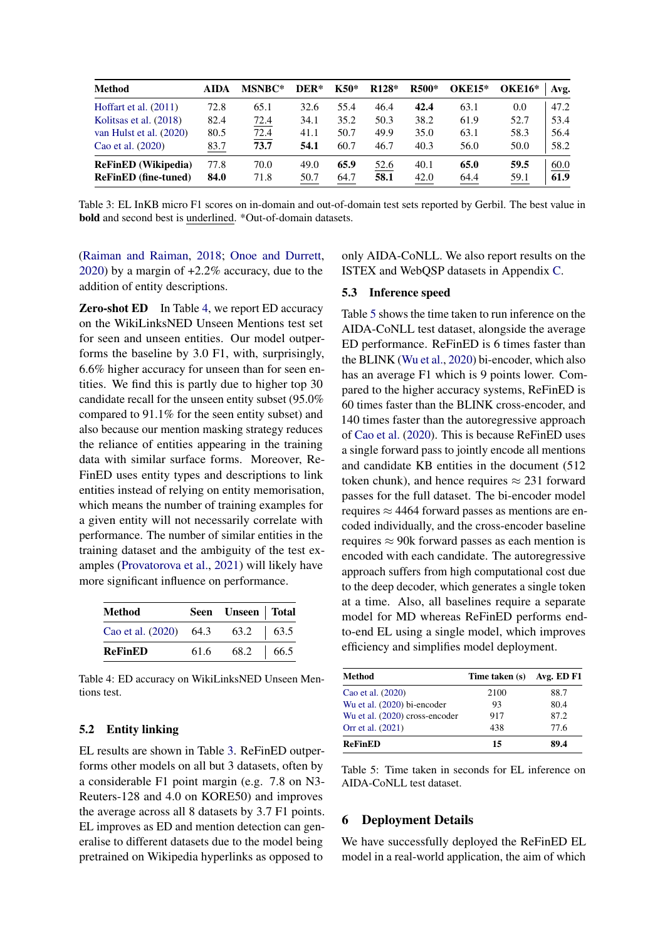<span id="page-5-2"></span>

| <b>Method</b>               | <b>AIDA</b> | MSNBC* | DER* | K50* | R <sub>128</sub> * | R500* | <b>OKE15*</b> | <b>OKE16*</b> | Avg. |
|-----------------------------|-------------|--------|------|------|--------------------|-------|---------------|---------------|------|
| Hoffart et al. $(2011)$     | 72.8        | 65.1   | 32.6 | 55.4 | 46.4               | 42.4  | 63.1          | 0.0           | 47.2 |
| Kolitsas et al. (2018)      | 82.4        | 72.4   | 34.1 | 35.2 | 50.3               | 38.2  | 61.9          | 52.7          | 53.4 |
| van Hulst et al. (2020)     | 80.5        | 72.4   | 41.1 | 50.7 | 49.9               | 35.0  | 63.1          | 58.3          | 56.4 |
| Cao et al. (2020)           | 83.7        | 73.7   | 54.1 | 60.7 | 46.7               | 40.3  | 56.0          | 50.0          | 58.2 |
| <b>ReFinED</b> (Wikipedia)  | 77.8        | 70.0   | 49.0 | 65.9 | 52.6               | 40.1  | 65.0          | 59.5          | 60.0 |
| <b>ReFinED</b> (fine-tuned) | 84.0        | 71.8   | 50.7 | 64.7 | 58.1               | 42.0  | 64.4          | 59.1          | 61.9 |

Table 3: EL InKB micro F1 scores on in-domain and out-of-domain test sets reported by Gerbil. The best value in bold and second best is underlined. \*Out-of-domain datasets.

[\(Raiman and Raiman,](#page-8-4) [2018;](#page-8-4) [Onoe and Durrett,](#page-8-3) [2020\)](#page-8-3) by a margin of +2.2% accuracy, due to the addition of entity descriptions.

**Zero-shot ED** In Table [4,](#page-5-1) we report ED accuracy on the WikiLinksNED Unseen Mentions test set for seen and unseen entities. Our model outperforms the baseline by 3.0 F1, with, surprisingly, 6.6% higher accuracy for unseen than for seen entities. We find this is partly due to higher top 30 candidate recall for the unseen entity subset (95.0% compared to 91.1% for the seen entity subset) and also because our mention masking strategy reduces the reliance of entities appearing in the training data with similar surface forms. Moreover, Re-FinED uses entity types and descriptions to link entities instead of relying on entity memorisation, which means the number of training examples for a given entity will not necessarily correlate with performance. The number of similar entities in the training dataset and the ambiguity of the test examples [\(Provatorova et al.,](#page-8-16) [2021\)](#page-8-16) will likely have more significant influence on performance.

<span id="page-5-1"></span>

| <b>Method</b>                      |      | Seen Unseen   Total    |  |
|------------------------------------|------|------------------------|--|
| Cao et al. $(2020)$ 64.3 63.2 63.5 |      |                        |  |
| <b>ReFinED</b>                     | 61.6 | $68.2 \quad   \; 66.5$ |  |

Table 4: ED accuracy on WikiLinksNED Unseen Mentions test.

### 5.2 Entity linking

EL results are shown in Table [3.](#page-5-2) ReFinED outperforms other models on all but 3 datasets, often by a considerable F1 point margin (e.g. 7.8 on N3- Reuters-128 and 4.0 on KORE50) and improves the average across all 8 datasets by 3.7 F1 points. EL improves as ED and mention detection can generalise to different datasets due to the model being pretrained on Wikipedia hyperlinks as opposed to

only AIDA-CoNLL. We also report results on the ISTEX and WebQSP datasets in Appendix [C.](#page-10-1)

### <span id="page-5-4"></span>5.3 Inference speed

Table [5](#page-5-3) shows the time taken to run inference on the AIDA-CoNLL test dataset, alongside the average ED performance. ReFinED is 6 times faster than the BLINK [\(Wu et al.,](#page-9-0) [2020\)](#page-9-0) bi-encoder, which also has an average F1 which is 9 points lower. Compared to the higher accuracy systems, ReFinED is 60 times faster than the BLINK cross-encoder, and 140 times faster than the autoregressive approach of [Cao et al.](#page-7-3) [\(2020\)](#page-7-3). This is because ReFinED uses a single forward pass to jointly encode all mentions and candidate KB entities in the document (512 token chunk), and hence requires  $\approx 231$  forward passes for the full dataset. The bi-encoder model requires  $\approx$  4464 forward passes as mentions are encoded individually, and the cross-encoder baseline requires  $\approx$  90k forward passes as each mention is encoded with each candidate. The autoregressive approach suffers from high computational cost due to the deep decoder, which generates a single token at a time. Also, all baselines require a separate model for MD whereas ReFinED performs endto-end EL using a single model, which improves efficiency and simplifies model deployment.

<span id="page-5-3"></span>

| Method                         | Time taken (s) Avg. ED F1 |      |
|--------------------------------|---------------------------|------|
| Cao et al. (2020)              | 2100                      | 88.7 |
| Wu et al. (2020) bi-encoder    | 93                        | 80.4 |
| Wu et al. (2020) cross-encoder | 917                       | 87.2 |
| Orr et al. (2021)              | 438                       | 77.6 |
| <b>ReFinED</b>                 | 15                        | 89.4 |

Table 5: Time taken in seconds for EL inference on AIDA-CoNLL test dataset.

#### <span id="page-5-0"></span>6 Deployment Details

We have successfully deployed the ReFinED EL model in a real-world application, the aim of which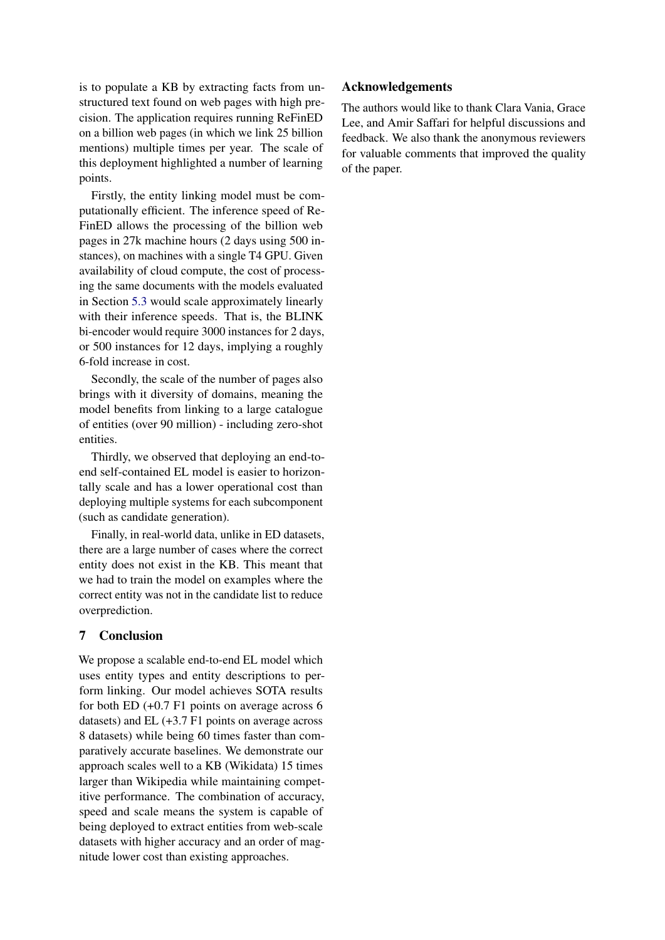is to populate a KB by extracting facts from unstructured text found on web pages with high precision. The application requires running ReFinED on a billion web pages (in which we link 25 billion mentions) multiple times per year. The scale of this deployment highlighted a number of learning points.

Firstly, the entity linking model must be computationally efficient. The inference speed of Re-FinED allows the processing of the billion web pages in 27k machine hours (2 days using 500 instances), on machines with a single T4 GPU. Given availability of cloud compute, the cost of processing the same documents with the models evaluated in Section [5.3](#page-5-4) would scale approximately linearly with their inference speeds. That is, the BLINK bi-encoder would require 3000 instances for 2 days, or 500 instances for 12 days, implying a roughly 6-fold increase in cost.

Secondly, the scale of the number of pages also brings with it diversity of domains, meaning the model benefits from linking to a large catalogue of entities (over 90 million) - including zero-shot entities.

Thirdly, we observed that deploying an end-toend self-contained EL model is easier to horizontally scale and has a lower operational cost than deploying multiple systems for each subcomponent (such as candidate generation).

Finally, in real-world data, unlike in ED datasets, there are a large number of cases where the correct entity does not exist in the KB. This meant that we had to train the model on examples where the correct entity was not in the candidate list to reduce overprediction.

# 7 Conclusion

We propose a scalable end-to-end EL model which uses entity types and entity descriptions to perform linking. Our model achieves SOTA results for both ED (+0.7 F1 points on average across 6 datasets) and EL (+3.7 F1 points on average across 8 datasets) while being 60 times faster than comparatively accurate baselines. We demonstrate our approach scales well to a KB (Wikidata) 15 times larger than Wikipedia while maintaining competitive performance. The combination of accuracy, speed and scale means the system is capable of being deployed to extract entities from web-scale datasets with higher accuracy and an order of magnitude lower cost than existing approaches.

# Acknowledgements

The authors would like to thank Clara Vania, Grace Lee, and Amir Saffari for helpful discussions and feedback. We also thank the anonymous reviewers for valuable comments that improved the quality of the paper.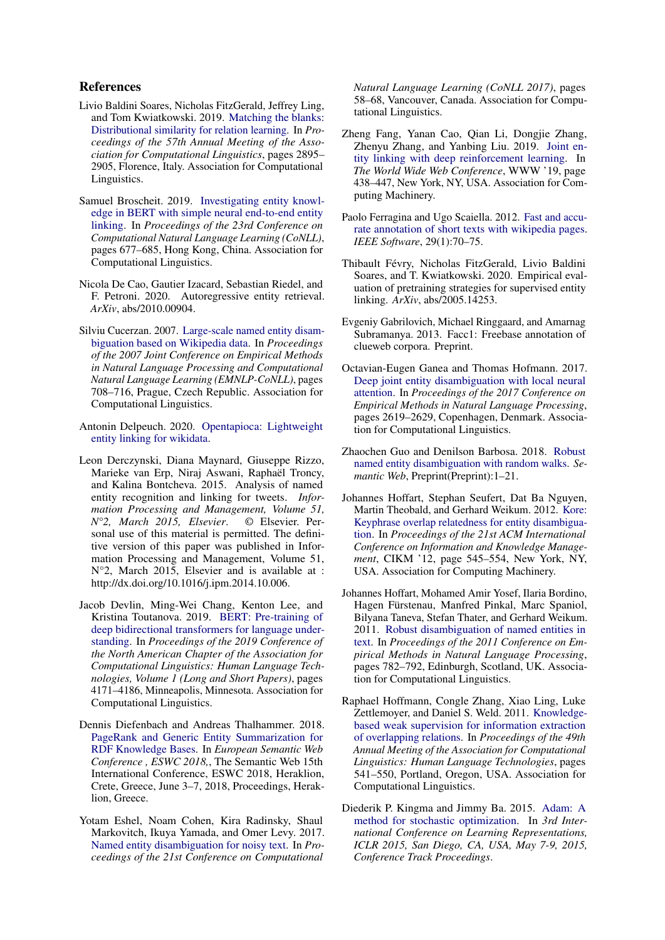### References

- <span id="page-7-1"></span>Livio Baldini Soares, Nicholas FitzGerald, Jeffrey Ling, and Tom Kwiatkowski. 2019. [Matching the blanks:](https://doi.org/10.18653/v1/P19-1279) [Distributional similarity for relation learning.](https://doi.org/10.18653/v1/P19-1279) In *Proceedings of the 57th Annual Meeting of the Association for Computational Linguistics*, pages 2895– 2905, Florence, Italy. Association for Computational Linguistics.
- <span id="page-7-13"></span>Samuel Broscheit. 2019. [Investigating entity knowl](https://doi.org/10.18653/v1/K19-1063)[edge in BERT with simple neural end-to-end entity](https://doi.org/10.18653/v1/K19-1063) [linking.](https://doi.org/10.18653/v1/K19-1063) In *Proceedings of the 23rd Conference on Computational Natural Language Learning (CoNLL)*, pages 677–685, Hong Kong, China. Association for Computational Linguistics.
- <span id="page-7-3"></span>Nicola De Cao, Gautier Izacard, Sebastian Riedel, and F. Petroni. 2020. Autoregressive entity retrieval. *ArXiv*, abs/2010.00904.
- <span id="page-7-6"></span>Silviu Cucerzan. 2007. [Large-scale named entity disam](https://aclanthology.org/D07-1074)[biguation based on Wikipedia data.](https://aclanthology.org/D07-1074) In *Proceedings of the 2007 Joint Conference on Empirical Methods in Natural Language Processing and Computational Natural Language Learning (EMNLP-CoNLL)*, pages 708–716, Prague, Czech Republic. Association for Computational Linguistics.
- <span id="page-7-17"></span>Antonin Delpeuch. 2020. [Opentapioca: Lightweight](http://arxiv.org/abs/1904.09131) [entity linking for wikidata.](http://arxiv.org/abs/1904.09131)
- <span id="page-7-10"></span>Leon Derczynski, Diana Maynard, Giuseppe Rizzo, Marieke van Erp, Niraj Aswani, Raphaël Troncy, and Kalina Bontcheva. 2015. Analysis of named entity recognition and linking for tweets. *Information Processing and Management, Volume 51, N°2, March 2015, Elsevier*. © Elsevier. Personal use of this material is permitted. The definitive version of this paper was published in Information Processing and Management, Volume 51, N°2, March 2015, Elsevier and is available at : http://dx.doi.org/10.1016/j.ipm.2014.10.006.
- <span id="page-7-15"></span>Jacob Devlin, Ming-Wei Chang, Kenton Lee, and Kristina Toutanova. 2019. [BERT: Pre-training of](https://doi.org/10.18653/v1/N19-1423) [deep bidirectional transformers for language under](https://doi.org/10.18653/v1/N19-1423)[standing.](https://doi.org/10.18653/v1/N19-1423) In *Proceedings of the 2019 Conference of the North American Chapter of the Association for Computational Linguistics: Human Language Technologies, Volume 1 (Long and Short Papers)*, pages 4171–4186, Minneapolis, Minnesota. Association for Computational Linguistics.
- <span id="page-7-5"></span>Dennis Diefenbach and Andreas Thalhammer. 2018. [PageRank and Generic Entity Summarization for](https://hal.archives-ouvertes.fr/hal-01905724) [RDF Knowledge Bases.](https://hal.archives-ouvertes.fr/hal-01905724) In *European Semantic Web Conference , ESWC 2018,*, The Semantic Web 15th International Conference, ESWC 2018, Heraklion, Crete, Greece, June 3–7, 2018, Proceedings, Heraklion, Greece.
- <span id="page-7-9"></span>Yotam Eshel, Noam Cohen, Kira Radinsky, Shaul Markovitch, Ikuya Yamada, and Omer Levy. 2017. [Named entity disambiguation for noisy text.](https://doi.org/10.18653/v1/K17-1008) In *Proceedings of the 21st Conference on Computational*

*Natural Language Learning (CoNLL 2017)*, pages 58–68, Vancouver, Canada. Association for Computational Linguistics.

- <span id="page-7-12"></span>Zheng Fang, Yanan Cao, Qian Li, Dongjie Zhang, Zhenyu Zhang, and Yanbing Liu. 2019. [Joint en](https://doi.org/10.1145/3308558.3313517)[tity linking with deep reinforcement learning.](https://doi.org/10.1145/3308558.3313517) In *The World Wide Web Conference*, WWW '19, page 438–447, New York, NY, USA. Association for Computing Machinery.
- <span id="page-7-18"></span>Paolo Ferragina and Ugo Scaiella. 2012. [Fast and accu](https://doi.org/10.1109/MS.2011.122)[rate annotation of short texts with wikipedia pages.](https://doi.org/10.1109/MS.2011.122) *IEEE Software*, 29(1):70–75.
- <span id="page-7-14"></span>Thibault Févry, Nicholas FitzGerald, Livio Baldini Soares, and T. Kwiatkowski. 2020. Empirical evaluation of pretraining strategies for supervised entity linking. *ArXiv*, abs/2005.14253.
- <span id="page-7-7"></span>Evgeniy Gabrilovich, Michael Ringgaard, and Amarnag Subramanya. 2013. Facc1: Freebase annotation of clueweb corpora. Preprint.
- <span id="page-7-2"></span>Octavian-Eugen Ganea and Thomas Hofmann. 2017. [Deep joint entity disambiguation with local neural](https://doi.org/10.18653/v1/D17-1277) [attention.](https://doi.org/10.18653/v1/D17-1277) In *Proceedings of the 2017 Conference on Empirical Methods in Natural Language Processing*, pages 2619–2629, Copenhagen, Denmark. Association for Computational Linguistics.
- <span id="page-7-8"></span>Zhaochen Guo and Denilson Barbosa. 2018. [Robust](https://doi.org/10.3233/sw-170273) [named entity disambiguation with random walks.](https://doi.org/10.3233/sw-170273) *Semantic Web*, Preprint(Preprint):1–21.
- <span id="page-7-11"></span>Johannes Hoffart, Stephan Seufert, Dat Ba Nguyen, Martin Theobald, and Gerhard Weikum. 2012. [Kore:](https://doi.org/10.1145/2396761.2396832) [Keyphrase overlap relatedness for entity disambigua](https://doi.org/10.1145/2396761.2396832)[tion.](https://doi.org/10.1145/2396761.2396832) In *Proceedings of the 21st ACM International Conference on Information and Knowledge Management*, CIKM '12, page 545–554, New York, NY, USA. Association for Computing Machinery.
- <span id="page-7-4"></span>Johannes Hoffart, Mohamed Amir Yosef, Ilaria Bordino, Hagen Fürstenau, Manfred Pinkal, Marc Spaniol, Bilyana Taneva, Stefan Thater, and Gerhard Weikum. 2011. [Robust disambiguation of named entities in](https://aclanthology.org/D11-1072) [text.](https://aclanthology.org/D11-1072) In *Proceedings of the 2011 Conference on Empirical Methods in Natural Language Processing*, pages 782–792, Edinburgh, Scotland, UK. Association for Computational Linguistics.
- <span id="page-7-0"></span>Raphael Hoffmann, Congle Zhang, Xiao Ling, Luke Zettlemoyer, and Daniel S. Weld. 2011. [Knowledge](https://aclanthology.org/P11-1055)[based weak supervision for information extraction](https://aclanthology.org/P11-1055) [of overlapping relations.](https://aclanthology.org/P11-1055) In *Proceedings of the 49th Annual Meeting of the Association for Computational Linguistics: Human Language Technologies*, pages 541–550, Portland, Oregon, USA. Association for Computational Linguistics.
- <span id="page-7-16"></span>Diederik P. Kingma and Jimmy Ba. 2015. [Adam: A](http://arxiv.org/abs/1412.6980) [method for stochastic optimization.](http://arxiv.org/abs/1412.6980) In *3rd International Conference on Learning Representations, ICLR 2015, San Diego, CA, USA, May 7-9, 2015, Conference Track Proceedings*.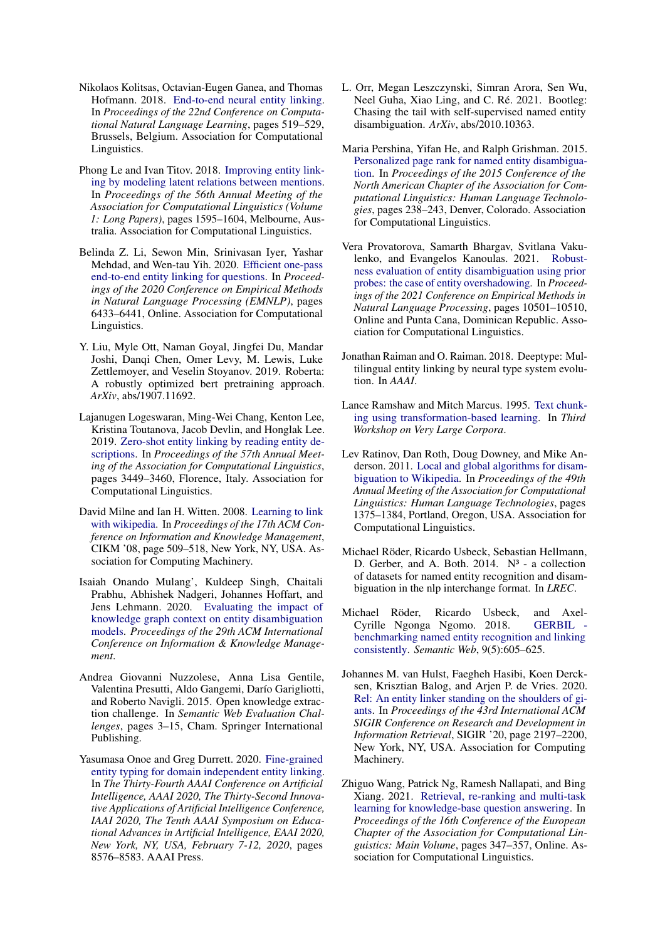- <span id="page-8-6"></span>Nikolaos Kolitsas, Octavian-Eugen Ganea, and Thomas Hofmann. 2018. [End-to-end neural entity linking.](https://doi.org/10.18653/v1/K18-1050) In *Proceedings of the 22nd Conference on Computational Natural Language Learning*, pages 519–529, Brussels, Belgium. Association for Computational Linguistics.
- <span id="page-8-1"></span>Phong Le and Ivan Titov. 2018. [Improving entity link](https://doi.org/10.18653/v1/P18-1148)[ing by modeling latent relations between mentions.](https://doi.org/10.18653/v1/P18-1148) In *Proceedings of the 56th Annual Meeting of the Association for Computational Linguistics (Volume 1: Long Papers)*, pages 1595–1604, Melbourne, Australia. Association for Computational Linguistics.
- <span id="page-8-18"></span>Belinda Z. Li, Sewon Min, Srinivasan Iyer, Yashar Mehdad, and Wen-tau Yih. 2020. [Efficient one-pass](https://doi.org/10.18653/v1/2020.emnlp-main.522) [end-to-end entity linking for questions.](https://doi.org/10.18653/v1/2020.emnlp-main.522) In *Proceedings of the 2020 Conference on Empirical Methods in Natural Language Processing (EMNLP)*, pages 6433–6441, Online. Association for Computational Linguistics.
- <span id="page-8-15"></span>Y. Liu, Myle Ott, Naman Goyal, Jingfei Du, Mandar Joshi, Danqi Chen, Omer Levy, M. Lewis, Luke Zettlemoyer, and Veselin Stoyanov. 2019. Roberta: A robustly optimized bert pretraining approach. *ArXiv*, abs/1907.11692.
- <span id="page-8-2"></span>Lajanugen Logeswaran, Ming-Wei Chang, Kenton Lee, Kristina Toutanova, Jacob Devlin, and Honglak Lee. 2019. [Zero-shot entity linking by reading entity de](https://doi.org/10.18653/v1/P19-1335)[scriptions.](https://doi.org/10.18653/v1/P19-1335) In *Proceedings of the 57th Annual Meeting of the Association for Computational Linguistics*, pages 3449–3460, Florence, Italy. Association for Computational Linguistics.
- <span id="page-8-9"></span>David Milne and Ian H. Witten. 2008. [Learning to link](https://doi.org/10.1145/1458082.1458150) [with wikipedia.](https://doi.org/10.1145/1458082.1458150) In *Proceedings of the 17th ACM Conference on Information and Knowledge Management*, CIKM '08, page 509–518, New York, NY, USA. Association for Computing Machinery.
- <span id="page-8-17"></span>Isaiah Onando Mulang', Kuldeep Singh, Chaitali Prabhu, Abhishek Nadgeri, Johannes Hoffart, and Jens Lehmann. 2020. [Evaluating the impact of](https://doi.org/10.1145/3340531.3412159) [knowledge graph context on entity disambiguation](https://doi.org/10.1145/3340531.3412159) [models.](https://doi.org/10.1145/3340531.3412159) *Proceedings of the 29th ACM International Conference on Information & Knowledge Management*.
- <span id="page-8-13"></span>Andrea Giovanni Nuzzolese, Anna Lisa Gentile, Valentina Presutti, Aldo Gangemi, Darío Garigliotti, and Roberto Navigli. 2015. Open knowledge extraction challenge. In *Semantic Web Evaluation Challenges*, pages 3–15, Cham. Springer International Publishing.
- <span id="page-8-3"></span>Yasumasa Onoe and Greg Durrett. 2020. [Fine-grained](https://aaai.org/ojs/index.php/AAAI/article/view/6380) [entity typing for domain independent entity linking.](https://aaai.org/ojs/index.php/AAAI/article/view/6380) In *The Thirty-Fourth AAAI Conference on Artificial Intelligence, AAAI 2020, The Thirty-Second Innovative Applications of Artificial Intelligence Conference, IAAI 2020, The Tenth AAAI Symposium on Educational Advances in Artificial Intelligence, EAAI 2020, New York, NY, USA, February 7-12, 2020*, pages 8576–8583. AAAI Press.
- <span id="page-8-8"></span>L. Orr, Megan Leszczynski, Simran Arora, Sen Wu, Neel Guha, Xiao Ling, and C. Ré. 2021. Bootleg: Chasing the tail with self-supervised named entity disambiguation. *ArXiv*, abs/2010.10363.
- <span id="page-8-12"></span>Maria Pershina, Yifan He, and Ralph Grishman. 2015. [Personalized page rank for named entity disambigua](https://doi.org/10.3115/v1/N15-1026)[tion.](https://doi.org/10.3115/v1/N15-1026) In *Proceedings of the 2015 Conference of the North American Chapter of the Association for Computational Linguistics: Human Language Technologies*, pages 238–243, Denver, Colorado. Association for Computational Linguistics.
- <span id="page-8-16"></span>Vera Provatorova, Samarth Bhargav, Svitlana Vakulenko, and Evangelos Kanoulas. 2021. [Robust](https://doi.org/10.18653/v1/2021.emnlp-main.820)[ness evaluation of entity disambiguation using prior](https://doi.org/10.18653/v1/2021.emnlp-main.820) [probes: the case of entity overshadowing.](https://doi.org/10.18653/v1/2021.emnlp-main.820) In *Proceedings of the 2021 Conference on Empirical Methods in Natural Language Processing*, pages 10501–10510, Online and Punta Cana, Dominican Republic. Association for Computational Linguistics.
- <span id="page-8-4"></span>Jonathan Raiman and O. Raiman. 2018. Deeptype: Multilingual entity linking by neural type system evolution. In *AAAI*.
- <span id="page-8-7"></span>Lance Ramshaw and Mitch Marcus. 1995. [Text chunk](https://aclanthology.org/W95-0107)[ing using transformation-based learning.](https://aclanthology.org/W95-0107) In *Third Workshop on Very Large Corpora*.
- <span id="page-8-10"></span>Lev Ratinov, Dan Roth, Doug Downey, and Mike Anderson. 2011. [Local and global algorithms for disam](https://aclanthology.org/P11-1138)[biguation to Wikipedia.](https://aclanthology.org/P11-1138) In *Proceedings of the 49th Annual Meeting of the Association for Computational Linguistics: Human Language Technologies*, pages 1375–1384, Portland, Oregon, USA. Association for Computational Linguistics.
- <span id="page-8-14"></span>Michael Röder, Ricardo Usbeck, Sebastian Hellmann, D. Gerber, and A. Both.  $2014$ .  $N^3$  - a collection of datasets for named entity recognition and disambiguation in the nlp interchange format. In *LREC*.
- <span id="page-8-11"></span>Michael Röder, Ricardo Usbeck, and Axel-Cyrille Ngonga Ngomo. 2018. GERBIL [benchmarking named entity recognition and linking](https://doi.org/10.3233/SW-170286) [consistently.](https://doi.org/10.3233/SW-170286) *Semantic Web*, 9(5):605–625.
- <span id="page-8-5"></span>Johannes M. van Hulst, Faegheh Hasibi, Koen Dercksen, Krisztian Balog, and Arjen P. de Vries. 2020. [Rel: An entity linker standing on the shoulders of gi](https://doi.org/10.1145/3397271.3401416)[ants.](https://doi.org/10.1145/3397271.3401416) In *Proceedings of the 43rd International ACM SIGIR Conference on Research and Development in Information Retrieval*, SIGIR '20, page 2197–2200, New York, NY, USA. Association for Computing Machinery.
- <span id="page-8-0"></span>Zhiguo Wang, Patrick Ng, Ramesh Nallapati, and Bing Xiang. 2021. [Retrieval, re-ranking and multi-task](https://doi.org/10.18653/v1/2021.eacl-main.26) [learning for knowledge-base question answering.](https://doi.org/10.18653/v1/2021.eacl-main.26) In *Proceedings of the 16th Conference of the European Chapter of the Association for Computational Linguistics: Main Volume*, pages 347–357, Online. Association for Computational Linguistics.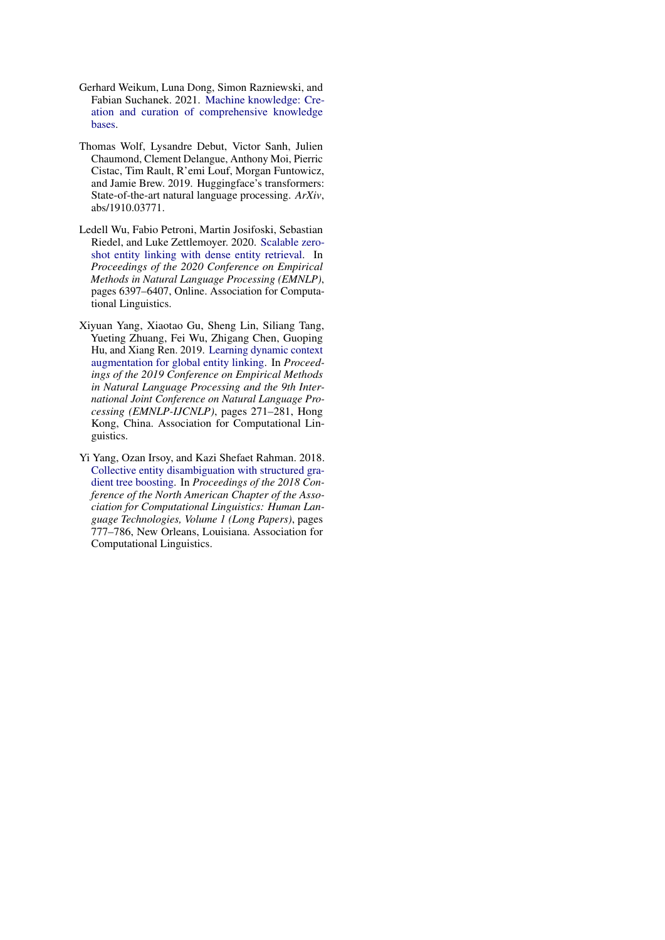- <span id="page-9-1"></span>Gerhard Weikum, Luna Dong, Simon Razniewski, and Fabian Suchanek. 2021. [Machine knowledge: Cre](http://arxiv.org/abs/2009.11564)[ation and curation of comprehensive knowledge](http://arxiv.org/abs/2009.11564) [bases.](http://arxiv.org/abs/2009.11564)
- <span id="page-9-4"></span>Thomas Wolf, Lysandre Debut, Victor Sanh, Julien Chaumond, Clement Delangue, Anthony Moi, Pierric Cistac, Tim Rault, R'emi Louf, Morgan Funtowicz, and Jamie Brew. 2019. Huggingface's transformers: State-of-the-art natural language processing. *ArXiv*, abs/1910.03771.
- <span id="page-9-0"></span>Ledell Wu, Fabio Petroni, Martin Josifoski, Sebastian Riedel, and Luke Zettlemoyer. 2020. [Scalable zero](https://doi.org/10.18653/v1/2020.emnlp-main.519)[shot entity linking with dense entity retrieval.](https://doi.org/10.18653/v1/2020.emnlp-main.519) In *Proceedings of the 2020 Conference on Empirical Methods in Natural Language Processing (EMNLP)*, pages 6397–6407, Online. Association for Computational Linguistics.
- <span id="page-9-3"></span>Xiyuan Yang, Xiaotao Gu, Sheng Lin, Siliang Tang, Yueting Zhuang, Fei Wu, Zhigang Chen, Guoping Hu, and Xiang Ren. 2019. [Learning dynamic context](https://doi.org/10.18653/v1/D19-1026) [augmentation for global entity linking.](https://doi.org/10.18653/v1/D19-1026) In *Proceedings of the 2019 Conference on Empirical Methods in Natural Language Processing and the 9th International Joint Conference on Natural Language Processing (EMNLP-IJCNLP)*, pages 271–281, Hong Kong, China. Association for Computational Linguistics.
- <span id="page-9-2"></span>Yi Yang, Ozan Irsoy, and Kazi Shefaet Rahman. 2018. [Collective entity disambiguation with structured gra](https://doi.org/10.18653/v1/N18-1071)[dient tree boosting.](https://doi.org/10.18653/v1/N18-1071) In *Proceedings of the 2018 Conference of the North American Chapter of the Association for Computational Linguistics: Human Language Technologies, Volume 1 (Long Papers)*, pages 777–786, New Orleans, Louisiana. Association for Computational Linguistics.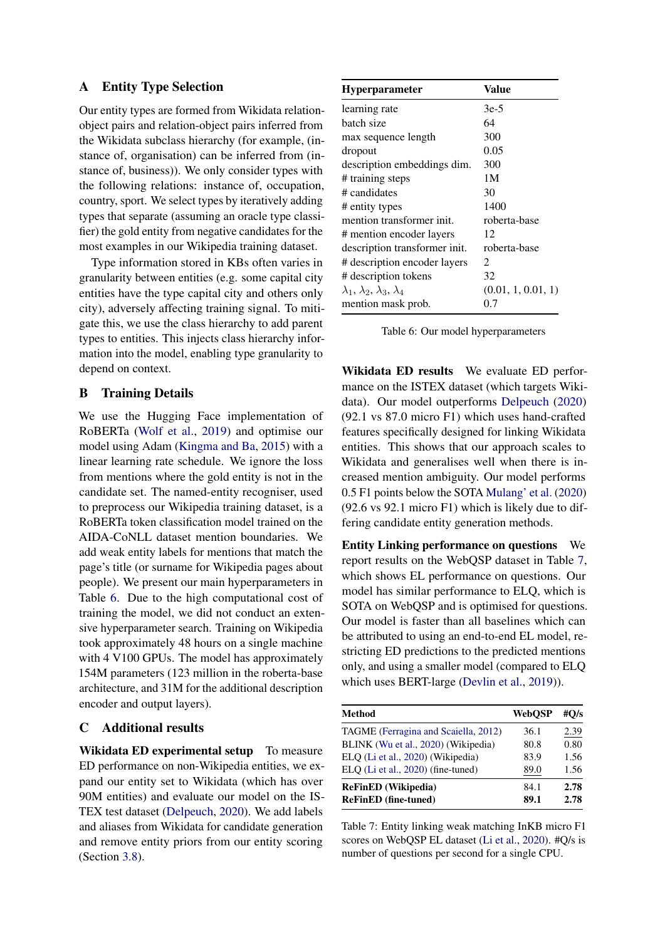## <span id="page-10-0"></span>A Entity Type Selection

Our entity types are formed from Wikidata relationobject pairs and relation-object pairs inferred from the Wikidata subclass hierarchy (for example, (instance of, organisation) can be inferred from (instance of, business)). We only consider types with the following relations: instance of, occupation, country, sport. We select types by iteratively adding types that separate (assuming an oracle type classifier) the gold entity from negative candidates for the most examples in our Wikipedia training dataset.

Type information stored in KBs often varies in granularity between entities (e.g. some capital city entities have the type capital city and others only city), adversely affecting training signal. To mitigate this, we use the class hierarchy to add parent types to entities. This injects class hierarchy information into the model, enabling type granularity to depend on context.

## B Training Details

We use the Hugging Face implementation of RoBERTa [\(Wolf et al.,](#page-9-4) [2019\)](#page-9-4) and optimise our model using Adam [\(Kingma and Ba,](#page-7-16) [2015\)](#page-7-16) with a linear learning rate schedule. We ignore the loss from mentions where the gold entity is not in the candidate set. The named-entity recogniser, used to preprocess our Wikipedia training dataset, is a RoBERTa token classification model trained on the AIDA-CoNLL dataset mention boundaries. We add weak entity labels for mentions that match the page's title (or surname for Wikipedia pages about people). We present our main hyperparameters in Table [6.](#page-10-2) Due to the high computational cost of training the model, we did not conduct an extensive hyperparameter search. Training on Wikipedia took approximately 48 hours on a single machine with 4 V100 GPUs. The model has approximately 154M parameters (123 million in the roberta-base architecture, and 31M for the additional description encoder and output layers).

# <span id="page-10-1"></span>C Additional results

Wikidata ED experimental setup To measure ED performance on non-Wikipedia entities, we expand our entity set to Wikidata (which has over 90M entities) and evaluate our model on the IS-TEX test dataset [\(Delpeuch,](#page-7-17) [2020\)](#page-7-17). We add labels and aliases from Wikidata for candidate generation and remove entity priors from our entity scoring (Section [3.8\)](#page-2-4).

<span id="page-10-2"></span>

| <b>Hyperparameter</b>                        | Value                       |
|----------------------------------------------|-----------------------------|
| learning rate                                | $3e-5$                      |
| batch size                                   | 64                          |
| max sequence length                          | 300                         |
| dropout                                      | 0.05                        |
| description embeddings dim.                  | 300                         |
| # training steps                             | 1M                          |
| # candidates                                 | 30                          |
| # entity types                               | 1400                        |
| mention transformer init.                    | roberta-base                |
| # mention encoder layers                     | 12                          |
| description transformer init.                | roberta-base                |
| # description encoder layers                 | $\mathcal{D}_{\mathcal{L}}$ |
| # description tokens                         | 32                          |
| $\lambda_1, \lambda_2, \lambda_3, \lambda_4$ | (0.01, 1, 0.01, 1)          |
| mention mask prob.                           | 0.7                         |

Table 6: Our model hyperparameters

Wikidata ED results We evaluate ED performance on the ISTEX dataset (which targets Wikidata). Our model outperforms [Delpeuch](#page-7-17) [\(2020\)](#page-7-17) (92.1 vs 87.0 micro F1) which uses hand-crafted features specifically designed for linking Wikidata entities. This shows that our approach scales to Wikidata and generalises well when there is increased mention ambiguity. Our model performs 0.5 F1 points below the SOTA [Mulang' et al.](#page-8-17) [\(2020\)](#page-8-17) (92.6 vs 92.1 micro F1) which is likely due to differing candidate entity generation methods.

Entity Linking performance on questions We report results on the WebQSP dataset in Table [7,](#page-10-3) which shows EL performance on questions. Our model has similar performance to ELQ, which is SOTA on WebQSP and is optimised for questions. Our model is faster than all baselines which can be attributed to using an end-to-end EL model, restricting ED predictions to the predicted mentions only, and using a smaller model (compared to ELQ which uses BERT-large [\(Devlin et al.,](#page-7-15) [2019\)](#page-7-15)).

<span id="page-10-3"></span>

| <b>Method</b>                        | WebOSP | # $O/s$ |
|--------------------------------------|--------|---------|
| TAGME (Ferragina and Scaiella, 2012) | 36.1   | 2.39    |
| BLINK (Wu et al., 2020) (Wikipedia)  | 80.8   | 0.80    |
| ELQ (Li et al., 2020) (Wikipedia)    | 83.9   | 1.56    |
| ELQ (Li et al., 2020) (fine-tuned)   | 89.0   | 1.56    |
| <b>ReFinED</b> (Wikipedia)           | 84.1   | 2.78    |
| <b>ReFinED</b> (fine-tuned)          | 89.1   | 2.78    |

Table 7: Entity linking weak matching InKB micro F1 scores on WebQSP EL dataset [\(Li et al.,](#page-8-18) [2020\)](#page-8-18). #Q/s is number of questions per second for a single CPU.